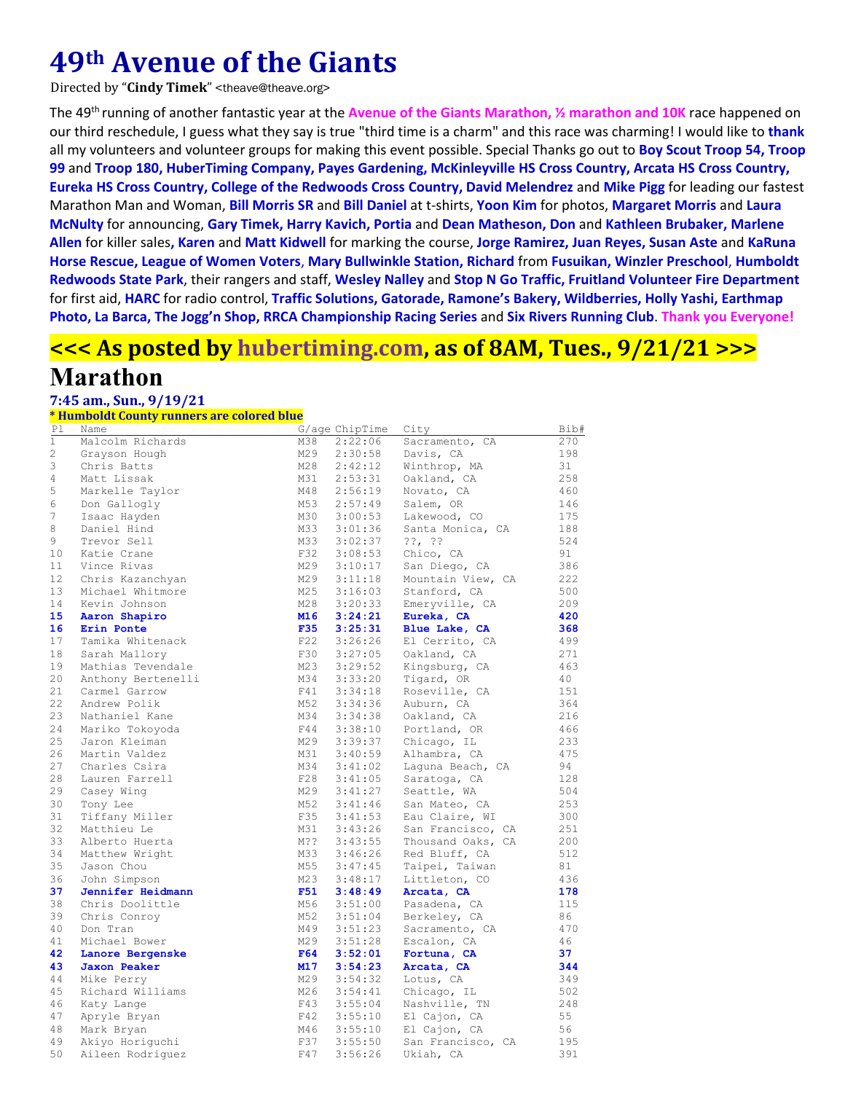# **49th Avenue of the Giants**

Directed by "**Cindy Timek**" <theave@theave.org>

The 49th running of another fantastic year at the **Avenue of the Giants Marathon, ½ marathon and 10K** race happened on our third reschedule, I guess what they say is true "third time is a charm" and this race was charming! I would like to **thank** all my volunteers and volunteer groups for making this event possible. Special Thanks go out to **Boy Scout Troop 54, Troop 99** and **Troop 180, HuberTiming Company, Payes Gardening, McKinleyville HS Cross Country, Arcata HS Cross Country, Eureka HS Cross Country, College of the Redwoods Cross Country, David Melendrez** and **Mike Pigg** for leading our fastest Marathon Man and Woman, **Bill Morris SR** and **Bill Daniel** at t‐shirts, **Yoon Kim** for photos, **Margaret Morris** and **Laura McNulty** for announcing, **Gary Timek, Harry Kavich, Portia** and **Dean Matheson, Don** and **Kathleen Brubaker, Marlene Allen** for killer sales**, Karen** and **Matt Kidwell** for marking the course, **Jorge Ramirez, Juan Reyes, Susan Aste** and **KaRuna Horse Rescue, League of Women Voters**, **Mary Bullwinkle Station, Richard** from **Fusuikan, Winzler Preschool**, **Humboldt Redwoods State Park**, their rangers and staff, **Wesley Nalley** and **Stop N Go Traffic, Fruitland Volunteer Fire Department** for first aid, **HARC** for radio control, **Traffic Solutions, Gatorade, Ramone's Bakery, Wildberries, Holly Yashi, Earthmap** Photo, La Barca, The Jogg'n Shop, RRCA Championship Racing Series and Six Rivers Running Club. Thank you Everyone!

# **<<< As posted by hubertiming.com, as of 8AM, Tues., 9/21/21 >>>**

## **Marathon**

### **7:45 am., Sun., 9/19/21**

**\* Humboldt County runners are colored blue**

| Ρl          | Name                |            | G/age ChipTime     | City              | Bib# |
|-------------|---------------------|------------|--------------------|-------------------|------|
| $\mathbf 1$ | Malcolm Richards    | M38        | 2:22:06            | Sacramento, CA    | 270  |
| 2           | Grayson Hough       | M29        | 2:30:58            | Davis, CA         | 198  |
| 3           | Chris Batts         | M28        | 2:42:12            | Winthrop, MA      | 31   |
| 4           | Matt Lissak         | M31        | 2:53:31            | Oakland, CA       | 258  |
| 5           | Markelle Taylor     | M48        | 2:56:19            | Novato, CA        | 460  |
| 6           | Don Gallogly        | M53        | 2:57:49            | Salem, OR         | 146  |
| 7           | Isaac Hayden        | M30        | 3:00:53            | Lakewood, CO      | 175  |
| 8           | Daniel Hind         | M33        | 3:01:36            | Santa Monica, CA  | 188  |
| 9           | Trevor Sell         | M33        | 3:02:37            | $??$ , $??$       | 524  |
| 10          | Katie Crane         | F32        | 3:08:53            | Chico, CA         | 91   |
| 11          | Vince Rivas         | M29        | 3:10:17            | San Diego, CA     | 386  |
| 12          | Chris Kazanchyan    | M29        | 3:11:18            | Mountain View, CA | 222  |
| 13          | Michael Whitmore    | M25        | 3:16:03            | Stanford, CA      | 500  |
| 14          | Kevin Johnson       | M28        | 3:20:33            | Emeryville, CA    | 209  |
| 15          | Aaron Shapiro       | M16        | 3:24:21            | Eureka, CA        | 420  |
| 16          | Erin Ponte          | <b>F35</b> | 3:25:31            | Blue Lake, CA     | 368  |
| 17          | Tamika Whitenack    | F22        | 3:26:26            | El Cerrito, CA    | 499  |
| 18          | Sarah Mallory       | F30        | 3:27:05            | Oakland, CA       | 271  |
| 19          | Mathias Tevendale   | M23        | 3:29:52            | Kingsburg, CA     | 463  |
| 20          | Anthony Bertenelli  | M34        | 3:33:20            | Tigard, OR        | 40   |
| 21          | Carmel Garrow       | F41        | 3:34:18            | Roseville, CA     | 151  |
| 22          | Andrew Polik        | M52        | 3:34:36            | Auburn, CA        | 364  |
| 23          | Nathaniel Kane      | M34        | 3:34:38            | Oakland, CA       | 216  |
| 24          | Mariko Tokoyoda     | F44        | 3:38:10            | Portland, OR      | 466  |
| 25          | Jaron Kleiman       | M29        | 3:39:37            | Chicago, IL       | 233  |
| 26          | Martin Valdez       | M31        | 3:40:59            | Alhambra, CA      | 475  |
| 27          | Charles Csira       | M34        | 3:41:02            |                   | 94   |
| 28          |                     | F28        |                    | Laguna Beach, CA  | 128  |
| 29          | Lauren Farrell      | M29        | 3:41:05<br>3:41:27 | Saratoga, CA      | 504  |
| 30          | Casey Wing          | M52        | 3:41:46            | Seattle, WA       | 253  |
| 31          | Tony Lee            | F35        |                    | San Mateo, CA     | 300  |
|             | Tiffany Miller      |            | 3:41:53            | Eau Claire, WI    |      |
| 32          | Matthieu Le         | M31        | 3:43:26            | San Francisco, CA | 251  |
| 33          | Alberto Huerta      | M??        | 3:43:55            | Thousand Oaks, CA | 200  |
| 34          | Matthew Wright      | M33        | 3:46:26            | Red Bluff, CA     | 512  |
| 35          | Jason Chou          | M55        | 3:47:45            | Taipei, Taiwan    | 81   |
| 36          | John Simpson        | M23        | 3:48:17            | Littleton, CO     | 436  |
| 37          | Jennifer Heidmann   | F51        | 3:48:49            | Arcata, CA        | 178  |
| 38          | Chris Doolittle     | M56        | 3:51:00            | Pasadena, CA      | 115  |
| 39          | Chris Conroy        | M52        | 3:51:04            | Berkeley, CA      | 86   |
| 40          | Don Tran            | M49        | 3:51:23            | Sacramento, CA    | 470  |
| 41          | Michael Bower       | M29        | 3:51:28            | Escalon, CA       | 46   |
| 42          | Lanore Bergenske    | F64        | 3:52:01            | Fortuna, CA       | 37   |
| 43          | <b>Jaxon Peaker</b> | M17        | 3:54:23            | Arcata, CA        | 344  |
| 44          | Mike Perry          | M29        | 3:54:32            | Lotus, CA         | 349  |
| 45          | Richard Williams    | M26        | 3:54:41            | Chicago, IL       | 502  |
| 46          | Katy Lange          | F43        | 3:55:04            | Nashville, TN     | 248  |
| 47          | Apryle Bryan        | F42        | 3:55:10            | El Cajon, CA      | 55   |
| 48          | Mark Bryan          | M46        | 3:55:10            | El Cajon, CA      | 56   |
| 49          | Akiyo Horiguchi     | F37        | 3:55:50            | San Francisco, CA | 195  |
| 50          | Aileen Rodriquez    | F47        | 3:56:26            | Ukiah, CA         | 391  |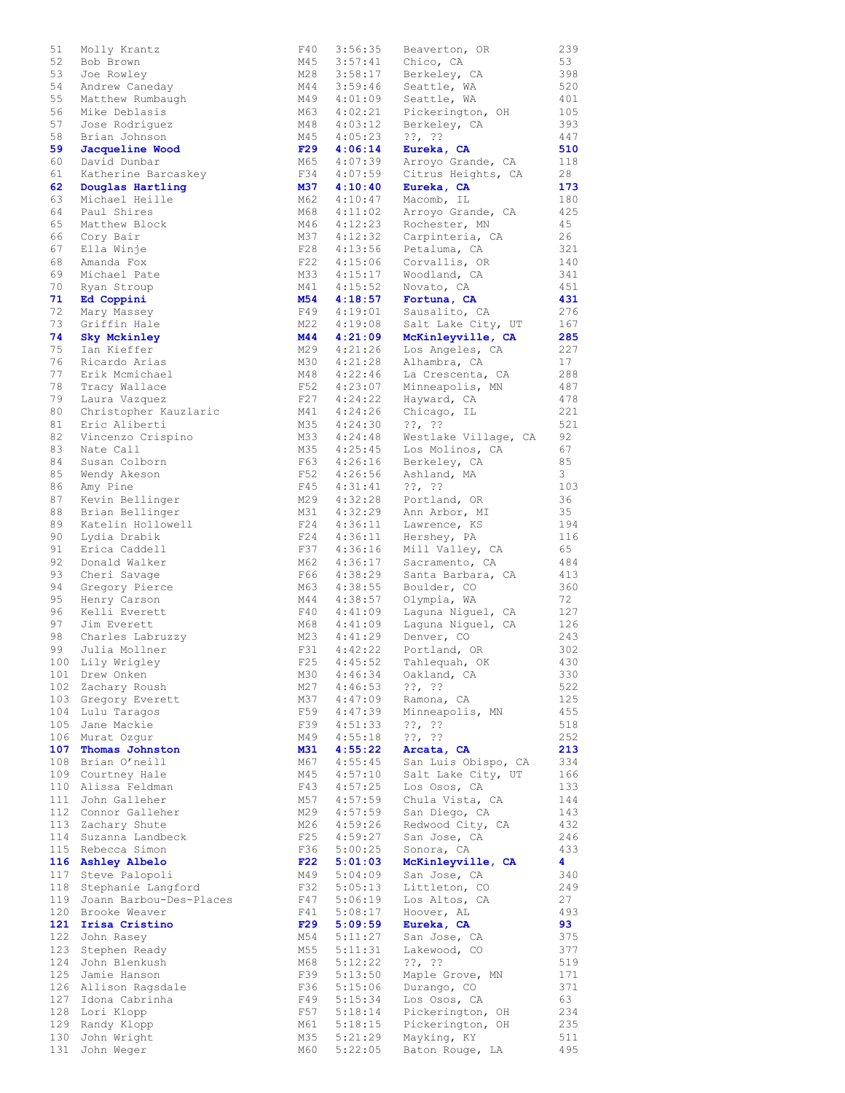| 51  | Molly Krantz            | F40        | 3:56:35 | Beaverton, OR        | 239 |
|-----|-------------------------|------------|---------|----------------------|-----|
| 52  | Bob Brown               | M45        | 3:57:41 | Chico, CA            | 53  |
| 53  | Joe Rowley              | M28        | 3:58:17 | Berkeley, CA         | 398 |
|     |                         |            |         |                      |     |
| 54  | Andrew Caneday          | M44        | 3:59:46 | Seattle, WA          | 520 |
| 55  | Matthew Rumbaugh        | M49        | 4:01:09 | Seattle, WA          | 401 |
| 56  | Mike Deblasis           | M63        | 4:02:21 | Pickerington, OH     | 105 |
|     |                         |            |         |                      |     |
| 57  | Jose Rodriquez          | M48        | 4:03:12 | Berkeley, CA         | 393 |
| 58  | Brian Johnson           | M45        | 4:05:23 | $??$ , $??$          | 447 |
|     |                         |            |         |                      |     |
| 59  | Jacqueline Wood         | F29        | 4:06:14 | Eureka, CA           | 510 |
| 60  | David Dunbar            | M65        | 4:07:39 | Arroyo Grande, CA    | 118 |
| 61  | Katherine Barcaskey     | F34        | 4:07:59 | Citrus Heights, CA   | 28  |
|     |                         |            |         |                      |     |
| 62  | Douglas Hartling        | M37        | 4:10:40 | Eureka, CA           | 173 |
| 63  | Michael Heille          | M62        | 4:10:47 | Macomb, IL           | 180 |
| 64  | Paul Shires             | M68        | 4:11:02 | Arroyo Grande, CA    | 425 |
|     |                         |            |         |                      |     |
| 65  | Matthew Block           | M46        | 4:12:23 | Rochester, MN        | 45  |
| 66  | Cory Bair               | M37        | 4:12:32 | Carpinteria, CA      | 26  |
|     |                         |            |         |                      |     |
| 67  | Ella Winje              | F28        | 4:13:56 | Petaluma, CA         | 321 |
| 68  | Amanda Fox              | F22        | 4:15:06 | Corvallis, OR        | 140 |
| 69  | Michael Pate            | M33        | 4:15:17 | Woodland, CA         | 341 |
|     |                         |            |         |                      |     |
| 70  | Ryan Stroup             | M41        | 4:15:52 | Novato, CA           | 451 |
| 71  | Ed Coppini              | <b>M54</b> | 4:18:57 | Fortuna, CA          | 431 |
| 72  |                         | F49        | 4:19:01 | Sausalito, CA        | 276 |
|     | Mary Massey             |            |         |                      |     |
| 73  | Griffin Hale            | M22        | 4:19:08 | Salt Lake City, UT   | 167 |
| 74  | Sky Mckinley            | <b>M44</b> | 4:21:09 | McKinleyville, CA    | 285 |
|     |                         |            |         |                      |     |
| 75  | Ian Kieffer             | M29        | 4:21:26 | Los Angeles, CA      | 227 |
| 76  | Ricardo Arias           | M30        | 4:21:28 | Alhambra, CA         | 17  |
| 77  | Erik Mcmichael          | M48        | 4:22:46 | La Crescenta, CA     | 288 |
|     |                         |            |         |                      |     |
| 78  | Tracy Wallace           | F52        | 4:23:07 | Minneapolis, MN      | 487 |
| 79  | Laura Vazquez           | F27        | 4:24:22 | Hayward, CA          | 478 |
|     |                         |            |         |                      |     |
| 80  | Christopher Kauzlaric   | M41        | 4:24:26 | Chicago, IL          | 221 |
| 81  | Eric Aliberti           | M35        | 4:24:30 | $??\, ?\,$           | 521 |
| 82  | Vincenzo Crispino       | M33        | 4:24:48 | Westlake Village, CA | 92  |
|     |                         |            |         |                      |     |
| 83  | Nate Call               | M35        | 4:25:45 | Los Molinos, CA      | 67  |
| 84  | Susan Colborn           | F63        | 4:26:16 | Berkeley, CA         | 85  |
|     |                         | F52        | 4:26:56 |                      | 3   |
| 85  | Wendy Akeson            |            |         | Ashland, MA          |     |
| 86  | Amy Pine                | F45        | 4:31:41 | $??\,  ??$           | 103 |
| 87  | Kevin Bellinger         | M29        | 4:32:28 | Portland, OR         | 36  |
|     |                         |            |         |                      |     |
| 88  | Brian Bellinger         | M31        | 4:32:29 | Ann Arbor, MI        | 35  |
| 89  | Katelin Hollowell       | F24        | 4:36:11 | Lawrence, KS         | 194 |
| 90  | Lydia Drabik            | F24        | 4:36:11 | Hershey, PA          | 116 |
|     |                         |            |         |                      |     |
| 91  | Erica Caddell           | F37        | 4:36:16 | Mill Valley, CA      | 65  |
| 92  | Donald Walker           | M62        | 4:36:17 | Sacramento, CA       | 484 |
|     |                         |            |         |                      |     |
| 93  | Cheri Savage            | F66        | 4:38:29 | Santa Barbara, CA    | 413 |
| 94  | Gregory Pierce          | M63        | 4:38:55 | Boulder, CO          | 360 |
| 95  | Henry Carson            | M44        | 4:38:57 | Olympia, WA          | 72  |
|     |                         |            |         |                      |     |
| 96  | Kelli Everett           | F40        | 4:41:09 | Laguna Niguel, CA    | 127 |
| 97  | Jim Everett             | M68        | 4:41:09 | Laquna Niquel, CA    | 126 |
| 98  | Charles Labruzzy        | M23        | 4:41:29 | Denver, CO           | 243 |
|     |                         |            |         |                      |     |
| 99  | Julia Mollner           | F31        | 4:42:22 | Portland, OR         | 302 |
| 100 | Lily Wrigley            | F25        | 4:45:52 | Tahlequah, OK        | 430 |
|     |                         |            |         |                      |     |
| 101 | Drew Onken              | M30        | 4:46:34 | Oakland, CA          | 330 |
| 102 | Zachary Roush           | M27        | 4:46:53 | $??\, ?\,$           | 522 |
| 103 | Gregory Everett         | M37        | 4:47:09 | Ramona, CA           | 125 |
|     |                         |            |         |                      |     |
| 104 | Lulu Taragos            | F59        | 4:47:39 | Minneapolis, MN      | 455 |
| 105 | Jane Mackie             | F39        | 4:51:33 | $??$ , $??$          | 518 |
| 106 | Murat Ozqur             | M49        | 4:55:18 | $??\, ??$            | 252 |
|     |                         |            |         |                      |     |
| 107 | Thomas Johnston         | M31        | 4:55:22 | Arcata, CA           | 213 |
| 108 | Brian O'neill           | M67        | 4:55:45 | San Luis Obispo, CA  | 334 |
| 109 | Courtney Hale           | M45        | 4:57:10 | Salt Lake City, UT   | 166 |
|     |                         |            |         |                      |     |
| 110 | Alissa Feldman          | F43        | 4:57:25 | Los Osos, CA         | 133 |
| 111 | John Galleher           | M57        | 4:57:59 | Chula Vista, CA      | 144 |
|     |                         |            |         |                      |     |
| 112 | Connor Galleher         | M29        | 4:57:59 | San Diego, CA        | 143 |
| 113 | Zachary Shute           | M26        | 4:59:26 | Redwood City, CA     | 432 |
| 114 | Suzanna Landbeck        | F25        | 4:59:27 | San Jose, CA         | 246 |
|     |                         |            |         |                      |     |
| 115 | Rebecca Simon           | F36        | 5:00:25 | Sonora, CA           | 433 |
| 116 | Ashley Albelo           | F22        | 5:01:03 | McKinleyville, CA    | 4   |
| 117 | Steve Palopoli          | M49        | 5:04:09 | San Jose, CA         | 340 |
|     |                         |            |         |                      |     |
| 118 | Stephanie Langford      | F32        | 5:05:13 | Littleton, CO        | 249 |
| 119 | Joann Barbou-Des-Places | F47        | 5:06:19 | Los Altos, CA        | 27  |
|     |                         |            |         |                      |     |
| 120 | Brooke Weaver           | F41        | 5:08:17 | Hoover, AL           | 493 |
| 121 | Irisa Cristino          | F29        | 5:09:59 | Eureka, CA           | 93  |
| 122 | John Rasey              | M54        | 5:11:27 | San Jose, CA         | 375 |
|     |                         |            |         |                      |     |
| 123 | Stephen Ready           | M55        | 5:11:31 | Lakewood, CO         | 377 |
| 124 | John Blenkush           | M68        | 5:12:22 | $??\, ?\,$           | 519 |
|     |                         |            |         |                      |     |
| 125 | Jamie Hanson            | F39        | 5:13:50 | Maple Grove, MN      | 171 |
| 126 | Allison Ragsdale        | F36        | 5:15:06 | Durango, CO          | 371 |
| 127 | Idona Cabrinha          | F49        | 5:15:34 | Los Osos, CA         | 63  |
|     |                         |            |         |                      |     |
| 128 | Lori Klopp              | F57        | 5:18:14 | Pickerington, OH     | 234 |
| 129 | Randy Klopp             | M61        | 5:18:15 | Pickerington, OH     | 235 |
| 130 | John Wright             | M35        | 5:21:29 | Mayking, KY          | 511 |
|     |                         |            |         |                      |     |
| 131 | John Weger              | M60        | 5:22:05 | Baton Rouge, LA      | 495 |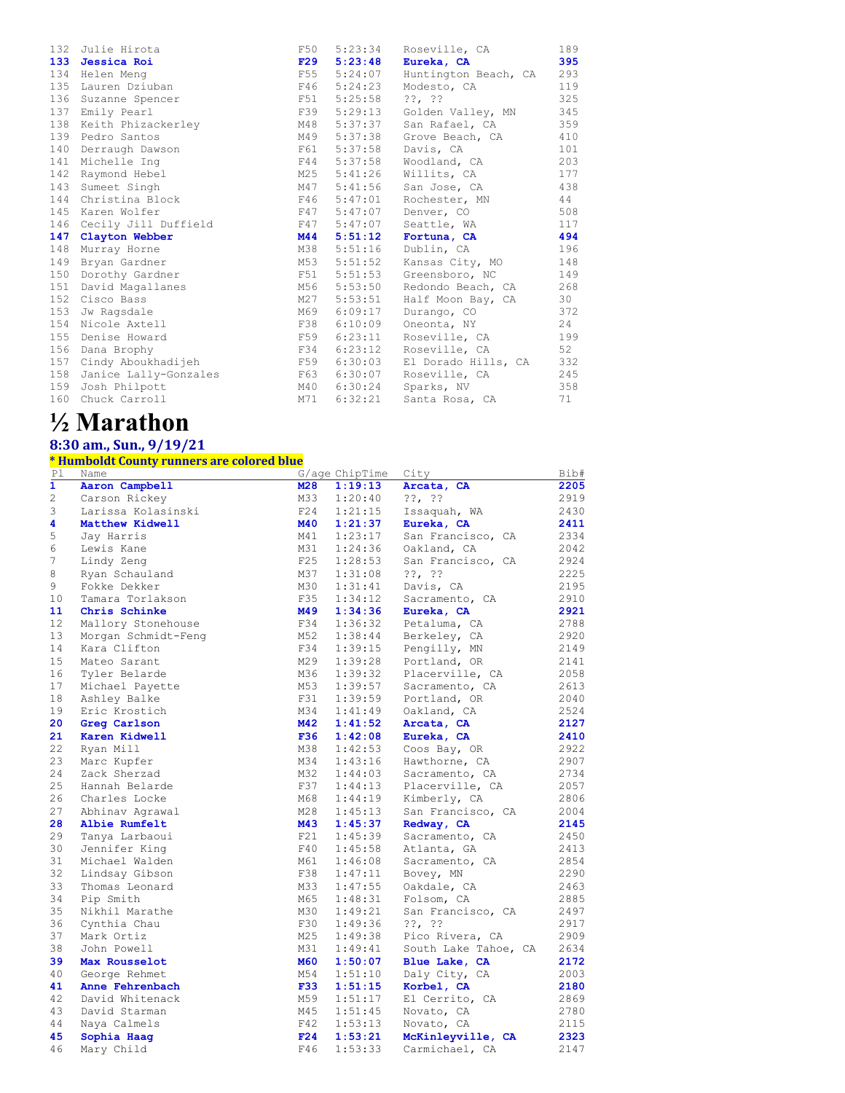|     | 132 Julie Hirota                     | F50        | 5:23:34 | Roseville, CA        | 189 |
|-----|--------------------------------------|------------|---------|----------------------|-----|
|     | 133 Jessica Roi                      | F29        | 5:23:48 | Eureka, CA           | 395 |
| 134 | Helen Meng                           | F55        | 5:24:07 | Huntington Beach, CA | 293 |
| 135 | Lauren Dziuban                       | F46        | 5:24:23 | Modesto, CA          | 119 |
|     | 136 Suzanne Spencer                  | F51        | 5:25:58 | $??\, ?\,$           | 325 |
| 137 | Emily Pearl                          | F39        | 5:29:13 | Golden Valley, MN    | 345 |
| 138 | Keith Phizackerley                   | M48        | 5:37:37 | San Rafael, CA       | 359 |
|     | 139 Pedro Santos                     | M49        | 5:37:38 | Grove Beach, CA      | 410 |
| 140 | Derraugh Dawson                      | F61        | 5:37:58 | Davis, CA            | 101 |
| 141 | Michelle Ing                         | F44        | 5:37:58 | Woodland, CA         | 203 |
| 142 | Raymond Hebel                        | M25        | 5:41:26 | Willits, CA          | 177 |
|     | 143 Sumeet Singh                     | M47        | 5:41:56 | San Jose, CA         | 438 |
|     | 144 Christina Block                  | F46        | 5:47:01 | Rochester, MN        | 44  |
| 145 | Karen Wolfer                         | F47        | 5:47:07 | Denver, CO           | 508 |
| 146 | Cecily Jill Duffield<br>F47          |            | 5:47:07 | Seattle, WA          | 117 |
|     | 147 Clayton Webber                   | <b>M44</b> | 5:51:12 | Fortuna, CA          | 494 |
| 148 | Murray Horne                         | M38        | 5:51:16 | Dublin, CA           | 196 |
| 149 | Bryan Gardner                        | M53        | 5:51:52 | Kansas City, MO      | 148 |
| 150 | Dorothy Gardner                      | F51        | 5:51:53 | Greensboro, NC       | 149 |
| 151 | David Magallanes                     | M56        | 5:53:50 | Redondo Beach, CA    | 268 |
| 152 | Cisco Bass                           | M27        | 5:53:51 | Half Moon Bay, CA    | 30  |
| 153 | Jw Ragsdale                          | M69        | 6:09:17 | Durango, CO          | 372 |
|     | 154 Nicole Axtell                    | F38        | 6:10:09 | Oneonta, NY          | 24  |
| 155 | Denise Howard                        | F59        | 6:23:11 | Roseville, CA        | 199 |
| 156 | Dana Brophy                          | F34        | 6:23:12 | Roseville, CA        | 52  |
|     | 157 Cindy Aboukhadijeh<br><b>E59</b> |            | 6:30:03 | El Dorado Hills, CA  | 332 |
|     | 158 Janice Lally-Gonzales            | F63        | 6:30:07 | Roseville, CA        | 245 |
|     | 159 Josh Philpott                    | M40        | 6:30:24 | Sparks, NV           | 358 |
| 160 | Chuck Carroll                        | M71        | 6:32:21 | Santa Rosa, CA       | 71  |

## **½ Marathon**

### **8:30 am., Sun., 9/19/21**

#### **\* Humboldt County runners are colored blue**

| Pl           | Name                |            | G/age ChipTime | City                 | Bib# |
|--------------|---------------------|------------|----------------|----------------------|------|
| $\mathbf{1}$ | Aaron Campbell      | M28        | 1:19:13        | Arcata, CA           | 2205 |
| 2            | Carson Rickey       | M33        | 1:20:40        | ??. ??               | 2919 |
| 3            | Larissa Kolasinski  | F24        | 1:21:15        | Issaquah, WA         | 2430 |
| 4            | Matthew Kidwell     | <b>M40</b> | 1:21:37        | Eureka, CA           | 2411 |
| 5            | Jay Harris          | M41        | 1:23:17        | San Francisco, CA    | 2334 |
| 6            | Lewis Kane          | M31        | 1:24:36        | Oakland, CA          | 2042 |
| 7            | Lindy Zeng          | F25        | 1:28:53        | San Francisco, CA    | 2924 |
| 8            | Ryan Schauland      | M37        | 1:31:08        | $??\,  ??$           | 2225 |
| 9            | Fokke Dekker        | M30        | 1:31:41        | Davis, CA            | 2195 |
| 10           | Tamara Torlakson    | F35        | 1:34:12        | Sacramento, CA       | 2910 |
| 11           | Chris Schinke       | M49        | 1:34:36        | Eureka, CA           | 2921 |
| 12           | Mallory Stonehouse  | F34        | 1:36:32        | Petaluma, CA         | 2788 |
| 13           | Morgan Schmidt-Feng | M52        | 1:38:44        | Berkeley, CA         | 2920 |
| 14           | Kara Clifton        | F34        | 1:39:15        | Pengilly, MN         | 2149 |
| 15           | Mateo Sarant        | M29        | 1:39:28        | Portland, OR         | 2141 |
| 16           | Tyler Belarde       | M36        | 1:39:32        | Placerville, CA      | 2058 |
| 17           | Michael Payette     | M53        | 1:39:57        | Sacramento, CA       | 2613 |
| 18           | Ashley Balke        | F31        | 1:39:59        | Portland, OR         | 2040 |
| 19           | Eric Krostich       | M34        | 1:41:49        | Oakland, CA          | 2524 |
| 20           | Greg Carlson        | <b>M42</b> | 1:41:52        | Arcata, CA           | 2127 |
| 21           | Karen Kidwell       | <b>F36</b> | 1:42:08        | Eureka, CA           | 2410 |
| 22           | Ryan Mill           | M38        | 1:42:53        | Coos Bay, OR         | 2922 |
| 23           | Marc Kupfer         | M34        | 1:43:16        | Hawthorne, CA        | 2907 |
| 24           | Zack Sherzad        | M32        | 1:44:03        | Sacramento, CA       | 2734 |
| 25           | Hannah Belarde      | F37        | 1:44:13        | Placerville, CA      | 2057 |
| 26           | Charles Locke       | M68        | 1:44:19        | Kimberly, CA         | 2806 |
| 27           | Abhinav Agrawal     | M28        | 1:45:13        | San Francisco, CA    | 2004 |
| 28           | Albie Rumfelt       | M43        | 1:45:37        | Redway, CA           | 2145 |
| 29           | Tanya Larbaoui      | F21        | 1:45:39        | Sacramento, CA       | 2450 |
| 30           | Jennifer King       | F40        | 1:45:58        | Atlanta, GA          | 2413 |
| 31           | Michael Walden      | M61        | 1:46:08        | Sacramento, CA       | 2854 |
| 32           | Lindsay Gibson      | F38        | 1:47:11        | Bovey, MN            | 2290 |
| 33           | Thomas Leonard      | M33        | 1:47:55        | Oakdale, CA          | 2463 |
| 34           | Pip Smith           | M65        | 1:48:31        | Folsom, CA           | 2885 |
| 35           | Nikhil Marathe      | M30        | 1:49:21        | San Francisco, CA    | 2497 |
| 36           | Cynthia Chau        | F30        | 1:49:36        | $??$ , $??$          | 2917 |
| 37           | Mark Ortiz          | M25        | 1:49:38        | Pico Rivera, CA      | 2909 |
| 38           | John Powell         | M31        | 1:49:41        | South Lake Tahoe, CA | 2634 |
| 39           | Max Rousselot       | <b>M60</b> | 1:50:07        | Blue Lake, CA        | 2172 |
| 40           | George Rehmet       | M54        | 1:51:10        | Daly City, CA        | 2003 |
| 41           | Anne Fehrenbach     | <b>F33</b> | 1:51:15        | Korbel, CA           | 2180 |
| 42           | David Whitenack     | M59        | 1:51:17        | El Cerrito, CA       | 2869 |
| 43           | David Starman       | M45        | 1:51:45        | Novato, CA           | 2780 |
| 44           | Nava Calmels        | F42        | 1:53:13        | Novato, CA           | 2115 |
| 45           | Sophia Haaq         | F24        | 1:53:21        | McKinleyville, CA    | 2323 |
| 46           | Mary Child          | F46        | 1:53:33        | Carmichael, CA       | 2147 |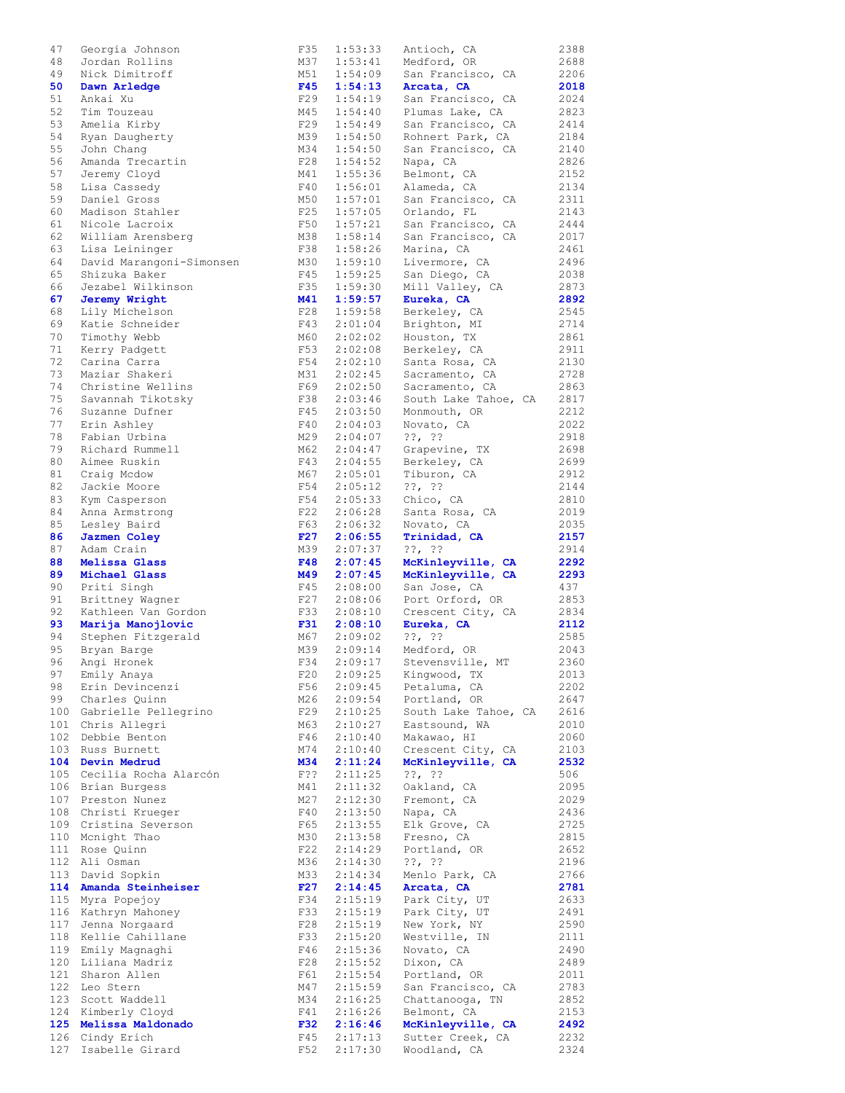| 47         | Georgia Johnson                | F35        | 1:53:33            | Antioch, CA                      | 2388         |
|------------|--------------------------------|------------|--------------------|----------------------------------|--------------|
| 48         | Jordan Rollins                 | M37        | 1:53:41            | Medford, OR                      | 2688         |
| 49         | Nick Dimitroff                 | M51        | 1:54:09            | San Francisco, CA                | 2206         |
| 50         | Dawn Arledge                   | F45        | 1:54:13            | Arcata, CA                       | 2018         |
|            |                                |            |                    |                                  |              |
| 51         | Ankai Xu                       | F29        | 1:54:19            | San Francisco, CA                | 2024         |
| 52         | Tim Touzeau                    | M45        | 1:54:40            | Plumas Lake, CA                  | 2823         |
| 53         | Amelia Kirby                   | F29        | 1:54:49            | San Francisco, CA                | 2414         |
| 54         |                                | M39        | 1:54:50            | Rohnert Park, CA                 | 2184         |
|            | Ryan Daugherty                 |            |                    |                                  |              |
| 55         | John Chang                     | M34        | 1:54:50            | San Francisco, CA                | 2140         |
| 56         | Amanda Trecartin               | F28        | 1:54:52            | Napa, CA                         | 2826         |
| 57         | Jeremy Cloyd                   | M41        | 1:55:36            | Belmont, CA                      | 2152         |
|            |                                |            |                    |                                  |              |
| 58         | Lisa Cassedy                   | F40        | 1:56:01            | Alameda, CA                      | 2134         |
| 59         | Daniel Gross                   | M50        | 1:57:01            | San Francisco, CA                | 2311         |
| 60         | Madison Stahler                | F25        | 1:57:05            | Orlando, FL                      | 2143         |
| 61         | Nicole Lacroix                 | F50        | 1:57:21            | San Francisco, CA                | 2444         |
|            |                                |            |                    |                                  |              |
| 62         | William Arensberg              | M38        | 1:58:14            | San Francisco, CA                | 2017         |
| 63         | Lisa Leininger                 | F38        | 1:58:26            | Marina, CA                       | 2461         |
| 64         | David Marangoni-Simonsen       | M30        | 1:59:10            | Livermore, CA                    | 2496         |
| 65         | Shizuka Baker                  | F45        | 1:59:25            | San Diego, CA                    | 2038         |
|            |                                |            |                    |                                  |              |
| 66         | Jezabel Wilkinson              | F35        | 1:59:30            | Mill Valley, CA                  | 2873         |
| 67         | Jeremy Wright                  | M41        | 1:59:57            | Eureka, CA                       | 2892         |
| 68         | Lily Michelson                 | F28        | 1:59:58            | Berkeley, CA                     | 2545         |
| 69         | Katie Schneider                | F43        | 2:01:04            | Brighton, MI                     | 2714         |
|            |                                |            |                    |                                  |              |
| 70         | Timothy Webb                   | M60        | 2:02:02            | Houston, TX                      | 2861         |
| 71         | Kerry Padgett                  | F53        | 2:02:08            | Berkeley, CA                     | 2911         |
| 72         | Carina Carra                   | F54        | 2:02:10            | Santa Rosa, CA                   | 2130         |
| 73         | Maziar Shakeri                 | M31        | 2:02:45            | Sacramento, CA                   | 2728         |
|            |                                |            |                    |                                  |              |
| 74         | Christine Wellins              | F69 -      | 2:02:50            | Sacramento, CA                   | 2863         |
| 75         | Savannah Tikotsky              | F38        | 2:03:46            | South Lake Tahoe, CA             | 2817         |
| 76         | Suzanne Dufner                 | F45        | 2:03:50            | Monmouth, OR                     | 2212         |
|            |                                |            |                    |                                  |              |
| 77         | Erin Ashley                    | F40        | 2:04:03            | Novato, CA                       | 2022         |
| 78         | Fabian Urbina                  | M29        | 2:04:07            | $??\, ?\,$                       | 2918         |
| 79         | Richard Rummell                | M62        | 2:04:47            | Grapevine, TX                    | 2698         |
| 80         | Aimee Ruskin                   | F43        | 2:04:55            | Berkeley, CA                     | 2699         |
|            |                                |            |                    |                                  |              |
| 81         | Craig Mcdow                    | M67        | 2:05:01            | Tiburon, CA                      | 2912         |
| 82         | Jackie Moore                   | F54        | 2:05:12            | $??\, ??$                        | 2144         |
| 83         | Kym Casperson                  | F54        | 2:05:33            | Chico, CA                        | 2810         |
| 84         | Anna Armstrong                 | F22        | 2:06:28            | Santa Rosa, CA                   | 2019         |
|            |                                |            |                    |                                  |              |
| 85         | Lesley Baird                   | F63        | 2:06:32            | Novato, CA                       | 2035         |
| 86         | Jazmen Coley                   | F27        | 2:06:55            | Trinidad, CA                     | 2157         |
|            |                                |            |                    |                                  |              |
|            |                                |            |                    |                                  |              |
| 87         | Adam Crain                     | M39        | 2:07:37            | $??\, ??$                        | 2914         |
| 88         | Melissa Glass                  | F48        | 2:07:45            | McKinleyville, CA                | 2292         |
| 89         | Michael Glass                  | M49        | 2:07:45            | McKinleyville, CA                | 2293         |
| 90         | Priti Singh                    | F45        | 2:08:00            | San Jose, CA                     | 437          |
|            |                                | F27        |                    |                                  |              |
| 91         | Brittney Wagner                |            | 2:08:06            | Port Orford, OR                  | 2853         |
| 92         | Kathleen Van Gordon            | F33        | 2:08:10            | Crescent City, CA                | 2834         |
| 93         | Marija Manojlovic              | F31        | 2:08:10            | Eureka, CA                       | 2112         |
| 94         | Stephen Fitzgerald             | M67        | 2:09:02            | $??$ , $??$                      | 2585         |
| 95         | Bryan Barge                    | M39        | 2:09:14            |                                  | 2043         |
|            |                                |            |                    | Medford, OR                      |              |
| 96         | Angi Hronek                    | F34        | 2:09:17            | Stevensville, MT                 | 2360         |
| 97         | Emily Anaya                    | F20        | 2:09:25            | Kingwood, TX                     | 2013         |
| 98         | Erin Devincenzi                | F56        | 2:09:45            | Petaluma, CA                     | 2202         |
| 99         | Charles Quinn                  | M26        |                    | Portland, OR                     | 2647         |
|            |                                |            | 2:09:54            |                                  |              |
| 100        | Gabrielle Pellegrino           | F29        | 2:10:25            | South Lake Tahoe, CA             | 2616         |
| 101        | Chris Allegri                  | M63        | 2:10:27            | Eastsound, WA                    | 2010         |
| 102        | Debbie Benton                  | F46        | 2:10:40            | Makawao, HI                      | 2060         |
| 103        | Russ Burnett                   | M74        | 2:10:40            |                                  | 2103         |
|            |                                |            |                    | Crescent City, CA                |              |
| 104        | Devin Medrud                   | M34        | 2:11:24            | McKinleyville, CA                | 2532         |
| 105        | Cecilia Rocha Alarcón          | F??        | 2:11:25            | $??$ , $??$                      | 506          |
| 106        | Brian Burgess                  | M41        | 2:11:32            | Oakland, CA                      | 2095         |
| 107        | Preston Nunez                  | M27        | 2:12:30            | Fremont, CA                      | 2029         |
|            |                                |            |                    |                                  |              |
| 108        | Christi Krueger                | F40        | 2:13:50            | Napa, CA                         | 2436         |
| 109        | Cristina Severson              | F65        | 2:13:55            | Elk Grove, CA                    | 2725         |
| 110        | Mcnight Thao                   | M30        | 2:13:58            | Fresno, CA                       | 2815         |
| 111        | Rose Quinn                     | F22        | 2:14:29            | Portland, OR                     | 2652         |
|            |                                |            |                    |                                  |              |
| 112        | Ali Osman                      | M36        | 2:14:30            | $??$ , $??$                      | 2196         |
| 113        | David Sopkin                   | M33        | 2:14:34            | Menlo Park, CA                   | 2766         |
| 114        | Amanda Steinheiser             | F27        | 2:14:45            | Arcata, CA                       | 2781         |
| 115        | Myra Popejoy                   | F34        | 2:15:19            |                                  | 2633         |
|            |                                |            |                    | Park City, UT                    |              |
| 116        | Kathryn Mahoney                | F33        | 2:15:19            | Park City, UT                    | 2491         |
| 117        | Jenna Norgaard                 | F28        | 2:15:19            | New York, NY                     | 2590         |
| 118        | Kellie Cahillane               | F33        | 2:15:20            | Westville, IN                    | 2111         |
| 119        | Emily Magnaghi                 | F46        | 2:15:36            | Novato, CA                       | 2490         |
|            |                                |            |                    |                                  |              |
| 120        | Liliana Madriz                 | F28        | 2:15:52            | Dixon, CA                        | 2489         |
| 121        | Sharon Allen                   | F61        | 2:15:54            | Portland, OR                     | 2011         |
| 122        | Leo Stern                      | M47        | 2:15:59            | San Francisco, CA                | 2783         |
| 123        | Scott Waddell                  | M34        | 2:16:25            | Chattanooga, TN                  | 2852         |
|            |                                |            |                    |                                  |              |
| 124        | Kimberly Cloyd                 | F41        | 2:16:26            | Belmont, CA                      | 2153         |
| 125        | Melissa Maldonado              | <b>F32</b> | 2:16:46            | McKinleyville, CA                | 2492         |
| 126<br>127 | Cindy Erich<br>Isabelle Girard | F45<br>F52 | 2:17:13<br>2:17:30 | Sutter Creek, CA<br>Woodland, CA | 2232<br>2324 |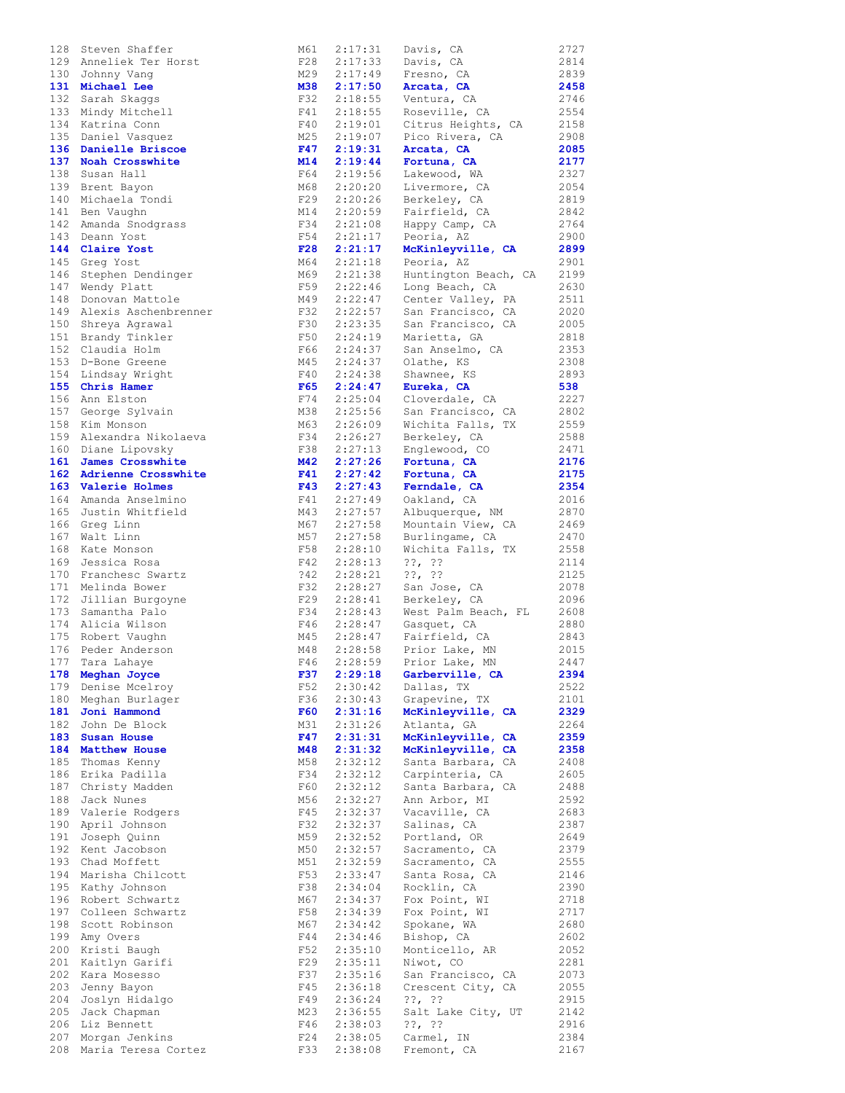|     |                         |            |         |                      | 2727 |
|-----|-------------------------|------------|---------|----------------------|------|
| 128 | Steven Shaffer          | M61        | 2:17:31 | Davis, CA            |      |
|     | 129 Anneliek Ter Horst  | F28        | 2:17:33 | Davis, CA            | 2814 |
| 130 | Johnny Vang             | M29        | 2:17:49 | Fresno, CA           | 2839 |
| 131 | Michael Lee             | M38        | 2:17:50 | Arcata, CA           | 2458 |
| 132 | Sarah Skaggs            | F32        | 2:18:55 | Ventura, CA          | 2746 |
| 133 | Mindy Mitchell          | F41        | 2:18:55 | Roseville, CA        | 2554 |
| 134 | Katrina Conn            | F40        | 2:19:01 | Citrus Heights, CA   | 2158 |
|     |                         |            |         |                      |      |
| 135 | Daniel Vasquez          | M25        | 2:19:07 | Pico Rivera, CA      | 2908 |
|     | 136 Danielle Briscoe    | F47        | 2:19:31 | Arcata, CA           | 2085 |
| 137 | Noah Crosswhite         | M14        | 2:19:44 | Fortuna, CA          | 2177 |
| 138 | Susan Hall              | F64        | 2:19:56 | Lakewood, WA         | 2327 |
| 139 | Brent Bayon             | M68        | 2:20:20 | Livermore, CA        | 2054 |
|     |                         |            |         |                      |      |
| 140 | Michaela Tondi          | F29        | 2:20:26 | Berkeley, CA         | 2819 |
| 141 | Ben Vaughn              | M14        | 2:20:59 | Fairfield, CA        | 2842 |
| 142 | Amanda Snodgrass        | F34        | 2:21:08 | Happy Camp, CA       | 2764 |
| 143 | Deann Yost              | F54        | 2:21:17 | Peoria, AZ           | 2900 |
| 144 | Claire Yost             | F28        | 2:21:17 | McKinleyville, CA    | 2899 |
|     |                         |            |         |                      |      |
| 145 | Greq Yost               | M64        | 2:21:18 | Peoria, AZ           | 2901 |
| 146 | Stephen Dendinger       | M69        | 2:21:38 | Huntington Beach, CA | 2199 |
| 147 | Wendy Platt             | F59        | 2:22:46 | Long Beach, CA       | 2630 |
| 148 | Donovan Mattole         | M49        | 2:22:47 | Center Valley, PA    | 2511 |
| 149 | Alexis Aschenbrenner    | F32        | 2:22:57 | San Francisco, CA    | 2020 |
|     |                         | F30        |         |                      |      |
| 150 | Shreya Agrawal          |            | 2:23:35 | San Francisco, CA    | 2005 |
| 151 | Brandy Tinkler          | F50        | 2:24:19 | Marietta, GA         | 2818 |
| 152 | Claudia Holm            | F66        | 2:24:37 | San Anselmo, CA      | 2353 |
| 153 | D-Bone Greene           | M45        | 2:24:37 | Olathe, KS           | 2308 |
| 154 | Lindsay Wright          | F40        | 2:24:38 | Shawnee, KS          | 2893 |
|     |                         |            |         |                      |      |
| 155 | Chris Hamer             | F65        | 2:24:47 | Eureka, CA           | 538  |
| 156 | Ann Elston              | F74        | 2:25:04 | Cloverdale, CA       | 2227 |
| 157 | George Sylvain          | M38        | 2:25:56 | San Francisco, CA    | 2802 |
| 158 | Kim Monson              | M63        | 2:26:09 | Wichita Falls, TX    | 2559 |
| 159 | Alexandra Nikolaeva     | F34        | 2:26:27 |                      | 2588 |
|     |                         |            |         | Berkeley, CA         |      |
|     | 160 Diane Lipovsky      | F38        | 2:27:13 | Englewood, CO        | 2471 |
| 161 | James Crosswhite        | M42        | 2:27:26 | Fortuna, CA          | 2176 |
|     | 162 Adrienne Crosswhite | F41        | 2:27:42 | Fortuna, CA          | 2175 |
| 163 | Valerie Holmes          | F43        | 2:27:43 | Ferndale, CA         | 2354 |
| 164 | Amanda Anselmino        | F41        | 2:27:49 | Oakland, CA          | 2016 |
|     |                         |            |         |                      |      |
| 165 | Justin Whitfield        | M43        | 2:27:57 | Albuquerque, NM      | 2870 |
| 166 | Greg Linn               | M67        | 2:27:58 | Mountain View, CA    | 2469 |
| 167 | Walt Linn               | M57        | 2:27:58 | Burlingame, CA       | 2470 |
| 168 | Kate Monson             | F58        | 2:28:10 | Wichita Falls, TX    | 2558 |
| 169 | Jessica Rosa            | F42        | 2:28:13 | $??$ , $??$          | 2114 |
|     |                         |            |         |                      |      |
| 170 | Franchesc Swartz        | 342        | 2:28:21 | $??\, ??$            | 2125 |
| 171 | Melinda Bower           | F32        | 2:28:27 | San Jose, CA         | 2078 |
| 172 | Jillian Burgoyne        | F29        | 2:28:41 | Berkeley, CA         | 2096 |
| 173 | Samantha Palo           | F34        | 2:28:43 | West Palm Beach, FL  | 2608 |
| 174 | Alicia Wilson           | F46        | 2:28:47 | Gasquet, CA          | 2880 |
|     |                         |            |         |                      |      |
| 175 | Robert Vaughn           | M45        | 2:28:47 | Fairfield, CA        | 2843 |
| 176 | Peder Anderson          | M48        | 2:28:58 | Prior Lake, MN       | 2015 |
| 177 | Tara Lahaye             | F46        | 2:28:59 | Prior Lake, MN       | 2447 |
| 178 | Meghan Joyce            | F37        | 2:29:18 | Garberville, CA      | 2394 |
| 179 | Denise Mcelroy          | F52        | 2:30:42 | Dallas, TX           | 2522 |
|     |                         |            |         |                      |      |
| 180 | Meghan Burlager         | F36        | 2:30:43 | Grapevine, TX        | 2101 |
| 181 | Joni Hammond            | <b>F60</b> | 2:31:16 | McKinleyville, CA    | 2329 |
| 182 | John De Block           | M31        | 2:31:26 | Atlanta, GA          | 2264 |
| 183 | <b>Susan House</b>      | F47        | 2:31:31 | McKinleyville, CA    | 2359 |
| 184 | Matthew House           | M48        | 2:31:32 | McKinleyville, CA    | 2358 |
|     | Thomas Kenny            |            | 2:32:12 | Santa Barbara, CA    |      |
| 185 |                         | M58        |         |                      | 2408 |
| 186 | Erika Padilla           | F34        | 2:32:12 | Carpinteria, CA      | 2605 |
| 187 | Christy Madden          | F60        | 2:32:12 | Santa Barbara, CA    | 2488 |
| 188 | Jack Nunes              | M56        | 2:32:27 | Ann Arbor, MI        | 2592 |
| 189 | Valerie Rodgers         | F45        | 2:32:37 | Vacaville, CA        | 2683 |
| 190 | April Johnson           | F32        | 2:32:37 | Salinas, CA          | 2387 |
|     |                         |            |         |                      |      |
| 191 | Joseph Quinn            | M59        | 2:32:52 | Portland, OR         | 2649 |
| 192 | Kent Jacobson           | M50        | 2:32:57 | Sacramento, CA       | 2379 |
| 193 | Chad Moffett            | M51        | 2:32:59 | Sacramento, CA       | 2555 |
| 194 | Marisha Chilcott        | F53        | 2:33:47 | Santa Rosa, CA       | 2146 |
| 195 | Kathy Johnson           | F38        | 2:34:04 | Rocklin, CA          | 2390 |
|     |                         |            |         |                      |      |
| 196 | Robert Schwartz         | M67        | 2:34:37 | Fox Point, WI        | 2718 |
| 197 | Colleen Schwartz        | F58        | 2:34:39 | Fox Point, WI        | 2717 |
| 198 | Scott Robinson          | M67        | 2:34:42 | Spokane, WA          | 2680 |
| 199 | Amy Overs               | F44        | 2:34:46 | Bishop, CA           | 2602 |
| 200 | Kristi Baugh            | F52        | 2:35:10 | Monticello, AR       | 2052 |
|     |                         |            |         |                      |      |
| 201 | Kaitlyn Garifi          | F29        | 2:35:11 | Niwot, CO            | 2281 |
| 202 | Kara Mosesso            | F37        | 2:35:16 | San Francisco, CA    | 2073 |
| 203 | Jenny Bayon             | F45        | 2:36:18 | Crescent City, CA    | 2055 |
| 204 | Joslyn Hidalgo          | F49        | 2:36:24 | $??\,  ??$           | 2915 |
| 205 | Jack Chapman            | M23        | 2:36:55 | Salt Lake City, UT   | 2142 |
|     |                         |            |         |                      |      |
| 206 | Liz Bennett             | F46        | 2:38:03 | $??$ , $??$          | 2916 |
| 207 | Morgan Jenkins          | F24        | 2:38:05 | Carmel, IN           | 2384 |
| 208 | Maria Teresa Cortez     | F33        | 2:38:08 | Fremont, CA          | 2167 |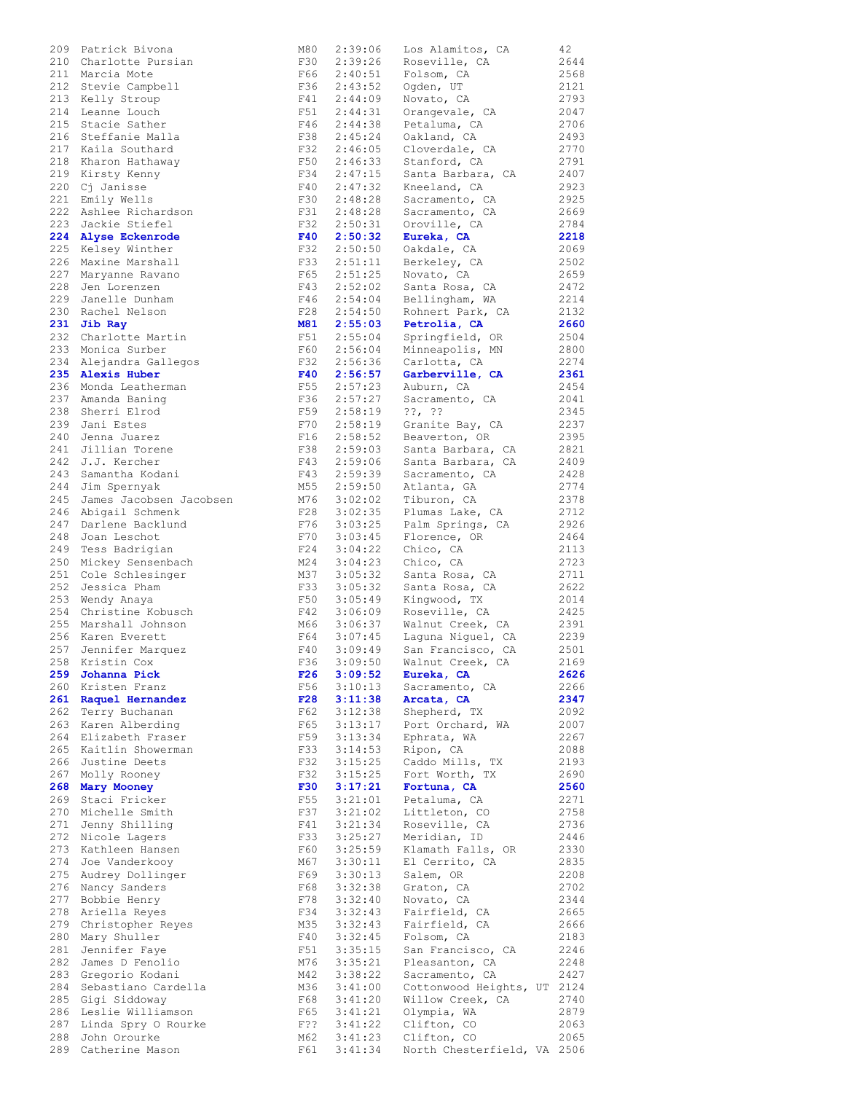| 209 | Patrick Bivona                            |
|-----|-------------------------------------------|
| 210 | Charlotte Pursian                         |
| 211 | Marcia Mote                               |
| 212 | Stevie Campbell                           |
| 213 | Kelly Stroup                              |
| 214 | Leanne Louch                              |
| 215 | Stacie Sather                             |
|     |                                           |
| 216 | Steffanie Malla                           |
| 217 | Kaila Southard                            |
| 218 | Kharon Hathaway                           |
| 219 | Kirsty Kenny                              |
| 220 | Cj Janisse                                |
| 221 | Emily Wells                               |
| 222 | Ashlee Richardson                         |
| 223 | Jackie Stiefel                            |
|     |                                           |
| 224 | Alyse Eckenrode                           |
| 225 | Kelsey Winther                            |
| 226 | Maxine Marshall                           |
| 227 | Maryanne Ravano                           |
| 228 | Jen Lorenzen                              |
| 229 | Janelle Dunham                            |
| 230 | Rachel Nelson                             |
| 231 | Jib Ray                                   |
| 232 | Charlotte Martin                          |
|     | Monica Surber                             |
| 233 |                                           |
| 234 | Alejandra Gallegos                        |
| 235 | Alexis Huber                              |
|     | 236 Monda Leatherman<br>237 Amanda Baning |
|     |                                           |
|     |                                           |
|     | 238 Sherri Elrod<br>239 Jani Estes        |
|     |                                           |
|     | 240 Jenna Juarez<br>241 Jillian Torene    |
|     |                                           |
| 242 | J.J. Kercher<br>Samantha Kodani           |
| 243 |                                           |
|     | 244 Jim Spernyak                          |
| 245 | James Jacobsen Jacobse                    |
| 246 | Abigail Schmenk<br>Darlene Backlund       |
| 247 |                                           |
| 248 | Joan Leschot                              |
| 249 | Tess Badrigian                            |
|     | 250 Mickey Sensenbach                     |
| 251 | Cole Schlesinger                          |
| 252 | Jessica Pham                              |
|     |                                           |
| 253 | Wendy Anaya                               |
|     | 254 Christine Kobusch                     |
| 255 | Marshall Johnson                          |
|     | 256 Karen Everett<br>257 Jennifer Marquez |
|     |                                           |
| 258 | Kristin Cox                               |
| 259 | Johanna Pick                              |
| 260 | Kristen Franz                             |
| 261 | Raquel Hernandez                          |
|     |                                           |
| 262 | Terry Buchanan                            |
| 263 | Karen Alberding                           |
| 264 | Elizabeth Fraser                          |
| 265 | Kaitlin Showerman                         |
| 266 | Justine Deets                             |
| 267 | Molly Rooney                              |
| 268 | Mary Mooney                               |
| 269 | Staci Fricker                             |
| 270 | Michelle Smith                            |
| 271 | Jenny Shilling                            |
| 272 | Nicole Lagers                             |
| 273 | Kathleen Hansen                           |
|     |                                           |
| 274 | Joe Vanderkooy                            |
| 275 | Audrey Dollinger                          |
| 276 | Nancy Sanders                             |
| 277 | Bobbie Henry                              |
| 278 | Ariella Reyes                             |
| 279 | Christopher Reyes                         |
| 280 | Mary Shuller                              |
| 281 | Jennifer Faye                             |
| 282 | James D Fenolio                           |
|     |                                           |
| 283 | Gregorio Kodani                           |
| 284 | Sebastiano Cardella                       |
| 285 | Gigi Siddoway                             |
| 286 | Leslie Williamson                         |
| 287 | Linda Spry O Rourke                       |
| 288 | John Orourke                              |
| 289 | Catherine Mason                           |
|     |                                           |

| 209 | Patrick Bivona          | M80        | 2:39:06 | Los Alamitos, CA                                      | 42   |
|-----|-------------------------|------------|---------|-------------------------------------------------------|------|
|     | 210 Charlotte Pursian   | F30        | 2:39:26 | Roseville, CA                                         | 2644 |
|     | 211 Marcia Mote         | F66        |         | 2:40:51 Folsom, CA                                    | 2568 |
| 212 | Stevie Campbell         | F36        | 2:43:52 | Ogden, UT                                             | 2121 |
| 213 |                         | F41        | 2:44:09 |                                                       | 2793 |
|     | Kelly Stroup            |            |         | Novato, CA                                            |      |
| 214 | Leanne Louch            | F51        | 2:44:31 | Orangevale, CA                                        | 2047 |
| 215 | Stacie Sather           | F46        | 2:44:38 | Petaluma, CA                                          | 2706 |
| 216 | Steffanie Malla         | F38        | 2:45:24 | Oakland, CA                                           | 2493 |
| 217 | Kaila Southard          | F32        | 2:46:05 | Cloverdale, CA                                        | 2770 |
| 218 | Kharon Hathaway         | F50        | 2:46:33 | Stanford, CA                                          | 2791 |
| 219 | Kirsty Kenny            | F34        | 2:47:15 | Santa Barbara, CA                                     | 2407 |
| 220 |                         | F40        | 2:47:32 |                                                       | 2923 |
|     | Cj Janisse              |            |         | Kneeland, CA                                          |      |
| 221 | Emily Wells             | F30        | 2:48:28 | Sacramento, CA                                        | 2925 |
| 222 | Ashlee Richardson       | F31        | 2:48:28 | Sacramento, CA                                        | 2669 |
| 223 | Jackie Stiefel          | F32        | 2:50:31 | Oroville, CA                                          | 2784 |
| 224 | Alyse Eckenrode         | F40        | 2:50:32 | Eureka, CA                                            | 2218 |
| 225 | Kelsey Winther          | F32        | 2:50:50 | Oakdale, CA                                           | 2069 |
| 226 | Maxine Marshall         | F33        | 2:51:11 | Berkeley, CA                                          | 2502 |
|     |                         |            |         |                                                       |      |
| 227 | Maryanne Ravano         | F65        | 2:51:25 | Novato, CA                                            | 2659 |
| 228 | Jen Lorenzen            | F43        | 2:52:02 | Santa Rosa, CA                                        | 2472 |
| 229 | Janelle Dunham          | F46        | 2:54:04 | Bellingham, WA                                        | 2214 |
| 230 | Rachel Nelson           | F28        | 2:54:50 | Rohnert Park, CA                                      | 2132 |
| 231 | Jib Ray                 | M81        | 2:55:03 | Petrolia, CA                                          | 2660 |
| 232 | Charlotte Martin        | F51        | 2:55:04 | Springfield, OR                                       | 2504 |
| 233 | Monica Surber           | F60        | 2:56:04 |                                                       | 2800 |
|     |                         |            |         | Minneapolis, MN                                       |      |
| 234 | Alejandra Gallegos      | F32        | 2:56:36 | Carlotta, CA                                          | 2274 |
| 235 | Alexis Huber            | F40        | 2:56:57 | Garberville, CA                                       | 2361 |
| 236 | Monda Leatherman        | F55        | 2:57:23 | Auburn, CA                                            | 2454 |
| 237 | Amanda Baning           | F36        | 2:57:27 | Sacramento, CA                                        | 2041 |
| 238 | Sherri Elrod            | F59        | 2:58:19 | $??\,  ??$                                            | 2345 |
| 239 | Jani Estes              | F70        | 2:58:19 | Granite Bay, CA                                       | 2237 |
| 240 | Jenna Juarez            | F16        | 2:58:52 |                                                       | 2395 |
|     |                         |            |         | Beaverton, OR                                         |      |
| 241 | Jillian Torene          | F38        | 2:59:03 | Santa Barbara, CA                                     | 2821 |
| 242 | J.J. Kercher            | F43        | 2:59:06 | Santa Barbara, CA                                     | 2409 |
| 243 | Samantha Kodani         | F43        | 2:59:39 | Sacramento, CA                                        | 2428 |
| 244 | Jim Spernyak            | M55        | 2:59:50 | Atlanta, GA                                           | 2774 |
| 245 | James Jacobsen Jacobsen | M76        | 3:02:02 | Tiburon, CA                                           | 2378 |
| 246 | Abigail Schmenk         | F28        | 3:02:35 | Plumas Lake, CA                                       | 2712 |
| 247 |                         | F76        |         |                                                       |      |
|     | Darlene Backlund        |            | 3:03:25 | Palm Springs, CA                                      | 2926 |
| 248 | Joan Leschot            | F70        | 3:03:45 | Florence, OR                                          | 2464 |
| 249 | Tess Badrigian          | F24        | 3:04:22 | Chico, CA                                             | 2113 |
| 250 | Mickey Sensenbach       | M24        | 3:04:23 | Chico, CA                                             | 2723 |
| 251 | Cole Schlesinger        | M37        | 3:05:32 | Santa Rosa, CA                                        | 2711 |
| 252 | Jessica Pham            | F33        | 3:05:32 | Santa Rosa, CA                                        | 2622 |
| 253 | Wendy Anaya             | F50        | 3:05:49 | Kingwood, TX                                          | 2014 |
|     |                         |            |         |                                                       |      |
| 254 | Christine Kobusch       | F42        |         | 3:06:09 Roseville, CA                                 | 2425 |
| 255 | Marshall Johnson        | M66        |         | 3:06:37 Walnut Creek, CA<br>3:07:45 Laguna Niguel, CA | 2391 |
| 256 | Karen Everett           | F64        |         |                                                       | 2239 |
| 257 | Jennifer Marquez        | F40        | 3:09:49 | San Francisco, CA                                     | 2501 |
|     | 258 Kristin Cox         | F36        |         | 3:09:50 Walnut Creek, CA                              | 2169 |
| 259 | Johanna Pick            | F26        | 3:09:52 | Eureka, CA                                            | 2626 |
|     | 260 Kristen Franz       | F56        | 3:10:13 | Sacramento, CA                                        | 2266 |
|     |                         |            |         |                                                       |      |
|     | 261 Raquel Hernandez    | F28        | 3:11:38 | Arcata, CA                                            | 2347 |
|     | 262 Terry Buchanan      | F62        | 3:12:38 | Shepherd, TX                                          | 2092 |
|     | 263 Karen Alberding     | F65        | 3:13:17 | Port Orchard, WA                                      | 2007 |
|     | 264 Elizabeth Fraser    | F59        | 3:13:34 | Ephrata, WA                                           | 2267 |
| 265 | Kaitlin Showerman       | F33        | 3:14:53 | Ripon, CA                                             | 2088 |
|     | 266 Justine Deets       | F32        | 3:15:25 | Caddo Mills, TX                                       | 2193 |
|     |                         | F32        |         |                                                       |      |
| 267 | Molly Rooney            |            | 3:15:25 | Fort Worth, TX                                        | 2690 |
|     | 268 Mary Mooney         | <b>F30</b> | 3:17:21 | Fortuna, CA                                           | 2560 |
| 269 | Staci Fricker           | F55        | 3:21:01 | Petaluma, CA                                          | 2271 |
| 270 | Michelle Smith          | F37        | 3:21:02 | Littleton, CO                                         | 2758 |
| 271 | Jenny Shilling          | F41        | 3:21:34 | Roseville, CA                                         | 2736 |
| 272 | Nicole Lagers           | F33        |         | 3:25:27 Meridian, ID                                  | 2446 |
|     |                         |            |         |                                                       |      |
| 273 | Kathleen Hansen         |            |         | F60 3:25:59 Klamath Falls, OR                         | 2330 |
| 274 | Joe Vanderkooy          | M67        | 3:30:11 | El Cerrito, CA                                        | 2835 |
| 275 | Audrey Dollinger        | F69        | 3:30:13 | Salem, OR                                             | 2208 |
| 276 | Nancy Sanders           | F68        | 3:32:38 | Graton, CA                                            | 2702 |
| 277 | Bobbie Henry            | F78        | 3:32:40 | Novato, CA                                            | 2344 |
| 278 | Ariella Reyes           | F34        | 3:32:43 | Fairfield, CA                                         | 2665 |
|     |                         |            |         |                                                       |      |
| 279 | Christopher Reyes       | M35        | 3:32:43 | Fairfield, CA                                         | 2666 |
| 280 | Mary Shuller            | F40        | 3:32:45 | Folsom, CA                                            | 2183 |
| 281 | Jennifer Faye           | F51        | 3:35:15 | San Francisco, CA                                     | 2246 |
| 282 | James D Fenolio         | M76        | 3:35:21 | Pleasanton, CA                                        | 2248 |
| 283 | Gregorio Kodani         | M42        | 3:38:22 | Sacramento, CA                                        | 2427 |
| 284 | Sebastiano Cardella     | M36        | 3:41:00 | Cottonwood Heights, UT 2124                           |      |
|     |                         |            |         |                                                       |      |
|     | 285 Gigi Siddoway       | F68        |         | 3:41:20 Willow Creek, CA                              | 2740 |
| 286 | Leslie Williamson       | F65        |         | 3:41:21 Olympia, WA                                   | 2879 |
| 287 | Linda Spry O Rourke     | F??        | 3:41:22 | Clifton, CO                                           | 2063 |
| 288 | John Orourke            | M62        | 3:41:23 | Clifton, CO                                           | 2065 |
|     | 289 Catherine Mason     | F61        |         | 3:41:34 North Chesterfield, VA 2506                   |      |
|     |                         |            |         |                                                       |      |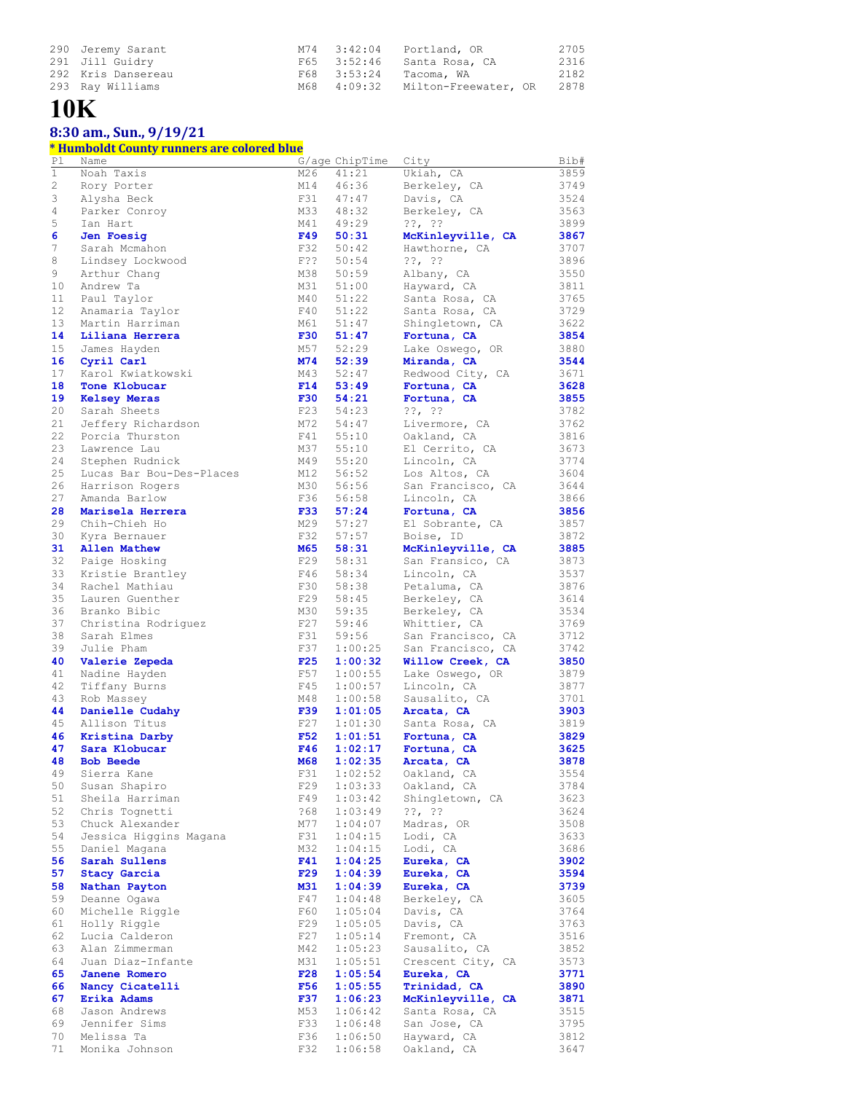| 290 Jeremy Sarant  |             | M74 3:42:04 Portland, OR   | 2705 |
|--------------------|-------------|----------------------------|------|
| 291 Jill Guidry    |             | F65 3:52:46 Santa Rosa, CA | 2316 |
| 292 Kris Dansereau |             | F68 3:53:24 Tacoma, WA     | 2182 |
| 293 Ray Williams   | M68 4:09:32 | Milton-Freewater, OR       | 2878 |

## **10K**

### **8:30 am., Sun., 9/19/21**

#### **\* Humboldt County runners are colored blue**

| P1 | Name                     |            | G/age ChipTime | City                    | Bib# |
|----|--------------------------|------------|----------------|-------------------------|------|
| 1  | Noah Taxis               | M26        | 41:21          | Ukiah, CA               | 3859 |
| 2  | Rory Porter              | M14        | 46:36          | Berkeley, CA            | 3749 |
| 3  | Alysha Beck              | F31        | 47:47          | Davis, CA               | 3524 |
| 4  | Parker Conroy            | M33        | 48:32          | Berkeley, CA            | 3563 |
|    |                          |            |                |                         |      |
| 5  | Ian Hart                 | M41        | 49:29          | $??\, ?\,$              | 3899 |
| 6  | Jen Foesig               | F49        | 50:31          | McKinleyville, CA       | 3867 |
| 7  | Sarah Mcmahon            | F32        | 50:42          | Hawthorne, CA           | 3707 |
| 8  | Lindsey Lockwood         | $F$ ??     | 50:54          | $??\, ??$               | 3896 |
| 9  | Arthur Chang             | M38        | 50:59          | Albany, CA              | 3550 |
| 10 | Andrew Ta                | M31        | 51:00          | Hayward, CA             | 3811 |
| 11 | Paul Taylor              | M40        | 51:22          | Santa Rosa, CA          | 3765 |
| 12 | Anamaria Taylor          | F40        | 51:22          | Santa Rosa, CA          | 3729 |
| 13 | Martin Harriman          |            | 51:47          |                         |      |
|    |                          | M61        |                | Shingletown, CA         | 3622 |
| 14 | Liliana Herrera          | <b>F30</b> | 51:47          | Fortuna, CA             | 3854 |
| 15 | James Hayden             | M57        | 52:29          | Lake Oswego, OR         | 3880 |
| 16 | Cyril Carl               | M74        | 52:39          | Miranda, CA             | 3544 |
| 17 | Karol Kwiatkowski        | M43        | 52:47          | Redwood City, CA        | 3671 |
| 18 | Tone Klobucar            | F14        | 53:49          | Fortuna, CA             | 3628 |
| 19 | <b>Kelsey Meras</b>      | F30        | 54:21          | Fortuna, CA             | 3855 |
| 20 | Sarah Sheets             | F23        | 54:23          | ??, ??                  | 3782 |
| 21 | Jeffery Richardson       | M72        | 54:47          | Livermore, CA           | 3762 |
| 22 |                          | F41        |                |                         | 3816 |
|    | Porcia Thurston          |            | 55:10          | Oakland, CA             |      |
| 23 | Lawrence Lau             | M37        | 55:10          | El Cerrito, CA          | 3673 |
| 24 | Stephen Rudnick          | M49        | 55:20          | Lincoln, CA             | 3774 |
| 25 | Lucas Bar Bou-Des-Places | M12        | 56:52          | Los Altos, CA           | 3604 |
| 26 | Harrison Rogers          | M30        | 56:56          | San Francisco, CA       | 3644 |
| 27 | Amanda Barlow            | F36        | 56:58          | Lincoln, CA             | 3866 |
| 28 | Marisela Herrera         | <b>F33</b> | 57:24          | Fortuna, CA             | 3856 |
| 29 | Chih-Chieh Ho            | M29        | 57:27          | El Sobrante, CA         | 3857 |
|    |                          |            |                |                         |      |
| 30 | Kyra Bernauer            | F32        | 57:57          | Boise, ID               | 3872 |
| 31 | <b>Allen Mathew</b>      | M65        | 58:31          | McKinleyville, CA       | 3885 |
| 32 | Paige Hosking            | F29        | 58:31          | San Fransico, CA        | 3873 |
| 33 | Kristie Brantley         | F46        | 58:34          | Lincoln, CA             | 3537 |
| 34 | Rachel Mathiau           | F30        | 58:38          | Petaluma, CA            | 3876 |
| 35 | Lauren Guenther          | F29        | 58:45          | Berkeley, CA            | 3614 |
| 36 | Branko Bibic             | M30        | 59:35          | Berkeley, CA            | 3534 |
| 37 | Christina Rodriguez      | F27        | 59:46          | Whittier, CA            | 3769 |
| 38 | Sarah Elmes              | F31        | 59:56          | San Francisco, CA       | 3712 |
|    |                          |            | 1:00:25        |                         |      |
| 39 | Julie Pham               | F37        |                | San Francisco, CA       | 3742 |
| 40 | Valerie Zepeda           | F25        | 1:00:32        | Willow Creek, CA        | 3850 |
| 41 | Nadine Hayden            | F57        | 1:00:55        | Lake Oswego, OR         | 3879 |
| 42 | Tiffany Burns            | F45        | 1:00:57        | Lincoln, CA             | 3877 |
| 43 | Rob Massey               | M48        | 1:00:58        | Sausalito, CA           | 3701 |
| 44 | Danielle Cudahy          | F39        | 1:01:05        | Arcata, CA              | 3903 |
| 45 | Allison Titus            | F27        | 1:01:30        | Santa Rosa, CA          | 3819 |
| 46 | Kristina Darby           | <b>F52</b> | 1:01:51        | Fortuna, CA             | 3829 |
| 47 | Sara Klobucar            | F46        | 1:02:17        |                         | 3625 |
|    |                          |            |                | Fortuna, CA             |      |
| 48 | <b>Bob Beede</b>         | <b>M68</b> | 1:02:35        | Arcata, CA              | 3878 |
| 49 | Sierra Kane              |            |                | F31 1:02:52 Oakland, CA | 3554 |
| 50 | Susan Shapiro            | F29        | 1:03:33        | Oakland, CA             | 3784 |
| 51 | Sheila Harriman          | F49        | 1:03:42        | Shingletown, CA         | 3623 |
| 52 | Chris Tognetti           | ?68        | 1:03:49        | $??\, ?\,$              | 3624 |
| 53 | Chuck Alexander          | M77        | 1:04:07        | Madras, OR              | 3508 |
| 54 | Jessica Higgins Magana   | F31        | 1:04:15        | Lodi, CA                | 3633 |
| 55 | Daniel Magana            | M32        | 1:04:15        | Lodi, CA                | 3686 |
|    |                          |            | 1:04:25        |                         |      |
| 56 | Sarah Sullens            | F41        |                | Eureka, CA              | 3902 |
| 57 | <b>Stacy Garcia</b>      | F29        | 1:04:39        | Eureka, CA              | 3594 |
| 58 | Nathan Payton            | M31        | 1:04:39        | Eureka, CA              | 3739 |
| 59 | Deanne Ogawa             | F47        | 1:04:48        | Berkeley, CA            | 3605 |
| 60 | Michelle Riggle          | F60        | 1:05:04        | Davis, CA               | 3764 |
| 61 | Holly Riggle             | F29        | 1:05:05        | Davis, CA               | 3763 |
| 62 | Lucia Calderon           | F27        | 1:05:14        | Fremont, CA             | 3516 |
| 63 | Alan Zimmerman           | M42        | 1:05:23        | Sausalito, CA           | 3852 |
| 64 | Juan Diaz-Infante        | M31        | 1:05:51        | Crescent City, CA       | 3573 |
|    |                          |            |                |                         |      |
| 65 | Janene Romero            | F28        | 1:05:54        | Eureka, CA              | 3771 |
| 66 | Nancy Cicatelli          | F56        | 1:05:55        | Trinidad, CA            | 3890 |
| 67 | Erika Adams              | <b>F37</b> | 1:06:23        | McKinleyville, CA       | 3871 |
| 68 | Jason Andrews            | M53        | 1:06:42        | Santa Rosa, CA          | 3515 |
| 69 | Jennifer Sims            | F33        | 1:06:48        | San Jose, CA            | 3795 |
| 70 | Melissa Ta               | F36        | 1:06:50        | Hayward, CA             | 3812 |
| 71 | Monika Johnson           | F32        | 1:06:58        | Oakland, CA             | 3647 |
|    |                          |            |                |                         |      |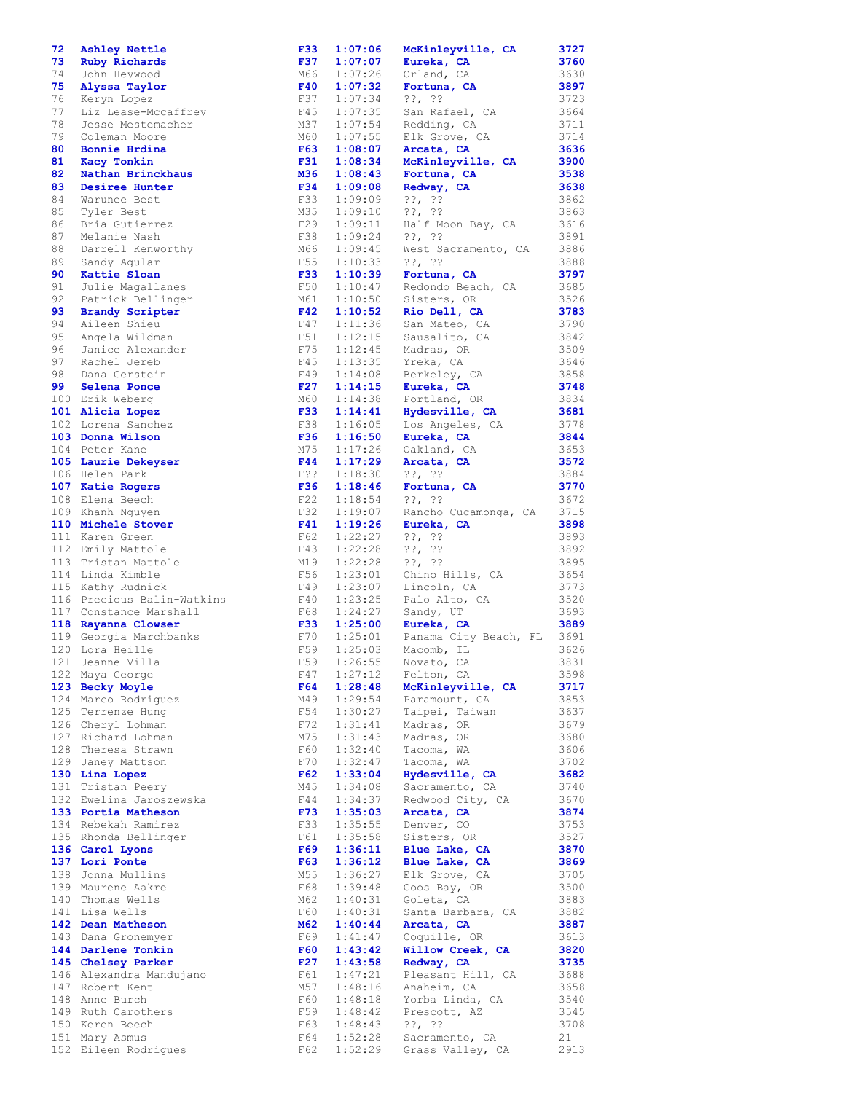| 72 | Ashley Nettle              | <b>F33</b> | 1:07:06 | McKinleyville, CA           | 3727 |
|----|----------------------------|------------|---------|-----------------------------|------|
| 73 | Ruby Richards              | F37        | 1:07:07 | Eureka, CA                  | 3760 |
| 74 | John Heywood               | M66        | 1:07:26 | Orland, CA                  | 3630 |
| 75 | Alyssa Taylor              | F40        | 1:07:32 | Fortuna, CA                 | 3897 |
|    |                            |            |         |                             |      |
| 76 | Keryn Lopez                | F37        | 1:07:34 | $??\, ?\,$                  | 3723 |
| 77 | Liz Lease-Mccaffrey        | F45        | 1:07:35 | San Rafael, CA              | 3664 |
| 78 | Jesse Mestemacher          | M37        | 1:07:54 | Redding, CA                 | 3711 |
| 79 | Coleman Moore              | M60        | 1:07:55 | Elk Grove, CA               | 3714 |
| 80 | Bonnie Hrdina              | F63        | 1:08:07 | Arcata, CA                  | 3636 |
| 81 |                            | F31        | 1:08:34 | McKinleyville, CA           | 3900 |
|    | Kacy Tonkin                |            |         |                             |      |
| 82 | Nathan Brinckhaus          | M36        | 1:08:43 | Fortuna, CA                 | 3538 |
| 83 | Desiree Hunter             | F34        | 1:09:08 | Redway, CA                  | 3638 |
| 84 | Warunee Best               | F33        | 1:09:09 | $??\, ?\,$                  | 3862 |
| 85 | Tyler Best                 | M35        | 1:09:10 | $??\, ?\,$                  | 3863 |
|    |                            |            |         |                             |      |
| 86 | Bria Gutierrez             | F29        | 1:09:11 | Half Moon Bay, CA           | 3616 |
| 87 | Melanie Nash               | F38        | 1:09:24 | $??\, ?\,$                  | 3891 |
| 88 | Darrell Kenworthy          | M66        | 1:09:45 | West Sacramento, CA         | 3886 |
| 89 | Sandy Aqular               | F55        | 1:10:33 | $??\, ?\,$                  | 3888 |
| 90 | Kattie Sloan               | <b>F33</b> | 1:10:39 | Fortuna, CA                 | 3797 |
| 91 | Julie Magallanes           | F50        | 1:10:47 |                             | 3685 |
|    |                            |            |         | Redondo Beach, CA           |      |
| 92 | Patrick Bellinger          | M61        | 1:10:50 | Sisters, OR                 | 3526 |
| 93 | <b>Brandy Scripter</b>     | F42        | 1:10:52 | Rio Dell, CA                | 3783 |
| 94 | Aileen Shieu               | F47        | 1:11:36 | San Mateo, CA               | 3790 |
| 95 | Angela Wildman             | F51        | 1:12:15 | Sausalito, CA               | 3842 |
| 96 | Janice Alexander           | F75        | 1:12:45 | Madras, OR                  | 3509 |
|    |                            |            |         |                             |      |
| 97 | Rachel Jereb               | F45        | 1:13:35 | Yreka, CA                   | 3646 |
| 98 | Dana Gerstein              | F49        | 1:14:08 | Berkeley, CA                | 3858 |
| 99 | Selena Ponce               | F27        | 1:14:15 | Eureka, CA                  | 3748 |
|    | 100 Erik Weberg            | M60        | 1:14:38 | Portland, OR                | 3834 |
|    | 101 Alicia Lopez           | <b>F33</b> | 1:14:41 | Hydesville, CA              | 3681 |
|    |                            |            |         |                             |      |
|    | 102 Lorena Sanchez         | F38        | 1:16:05 | Los Angeles, CA             | 3778 |
|    | 103 Donna Wilson           | <b>F36</b> | 1:16:50 | Eureka, CA                  | 3844 |
|    | 104 Peter Kane             | M75        | 1:17:26 | Oakland, CA                 | 3653 |
|    | 105 Laurie Dekeyser        | F44        | 1:17:29 | Arcata, CA                  | 3572 |
|    | 106 Helen Park             | $F$ ??     | 1:18:30 | $??\, ?\,$                  | 3884 |
|    |                            |            |         |                             |      |
|    | 107 Katie Rogers           | F36        | 1:18:46 | Fortuna, CA                 | 3770 |
|    | 108 Elena Beech            | F22        | 1:18:54 | $??\, ?\,$                  | 3672 |
|    | 109 Khanh Nguyen           | F32        | 1:19:07 | Rancho Cucamonga, CA        | 3715 |
|    | 110 Michele Stover         | F41        | 1:19:26 | Eureka, CA                  | 3898 |
|    | 111 Karen Green            | F62        | 1:22:27 | $??\, ?\,$                  | 3893 |
|    |                            |            |         |                             |      |
|    | 112 Emily Mattole          | F43        | 1:22:28 | $??\, ?\,$                  | 3892 |
|    | 113 Tristan Mattole        | M19        | 1:22:28 | $??\, ?\,$                  | 3895 |
|    | 114 Linda Kimble           | F56        | 1:23:01 | Chino Hills, CA             | 3654 |
|    | 115 Kathy Rudnick          | F49        | 1:23:07 | Lincoln, CA                 | 3773 |
|    | 116 Precious Balin-Watkins | F40        | 1:23:25 |                             | 3520 |
|    |                            |            |         | Palo Alto, CA               |      |
|    | 117 Constance Marshall     | F68        | 1:24:27 | Sandy, UT                   | 3693 |
|    | 118 Rayanna Clowser        | <b>F33</b> | 1:25:00 | Eureka, CA                  | 3889 |
|    | 119 Georgia Marchbanks     | F70        | 1:25:01 | Panama City Beach, FL 3691  |      |
|    | 120 Lora Heille            |            |         | F59 1:25:03 Macomb, IL 3626 |      |
|    | 121 Jeanne Villa           | F59        | 1:26:55 | Novato, CA                  | 3831 |
|    |                            |            |         |                             |      |
|    | 122 Maya George            | F47        | 1:27:12 | Felton, CA                  | 3598 |
|    | 123 Becky Moyle            | F64        | 1:28:48 | McKinleyville, CA           | 3717 |
|    | 124 Marco Rodriguez        | M49        | 1:29:54 | Paramount, CA               | 3853 |
|    | 125 Terrenze Hung          | F54        | 1:30:27 | Taipei, Taiwan              | 3637 |
|    | 126 Cheryl Lohman          | F72        | 1:31:41 | Madras, OR                  | 3679 |
|    |                            |            |         |                             |      |
|    | 127 Richard Lohman         | M75        | 1:31:43 | Madras, OR                  | 3680 |
|    | 128 Theresa Strawn         | F60        | 1:32:40 | Tacoma, WA                  | 3606 |
|    | 129 Janey Mattson          | F70        | 1:32:47 | Tacoma, WA                  | 3702 |
|    | 130 Lina Lopez             | F62        | 1:33:04 | Hydesville, CA              | 3682 |
|    | 131 Tristan Peery          | M45        | 1:34:08 | Sacramento, CA              | 3740 |
|    | 132 Ewelina Jaroszewska    | F44        | 1:34:37 | Redwood City, CA            | 3670 |
|    |                            |            |         |                             |      |
|    | 133 Portia Matheson        | F73        | 1:35:03 | Arcata, CA                  | 3874 |
|    | 134 Rebekah Ramirez        | F33        | 1:35:55 | Denver, CO                  | 3753 |
|    | 135 Rhonda Bellinger       | F61        | 1:35:58 | Sisters, OR                 | 3527 |
|    | 136 Carol Lyons            | F69        | 1:36:11 | Blue Lake, CA               | 3870 |
|    | 137 Lori Ponte             | F63        | 1:36:12 | Blue Lake, CA               | 3869 |
|    |                            |            |         |                             |      |
|    | 138 Jonna Mullins          | M55        | 1:36:27 | Elk Grove, CA               | 3705 |
|    | 139 Maurene Aakre          | F68        | 1:39:48 | Coos Bay, OR                | 3500 |
|    | 140 Thomas Wells           | M62        | 1:40:31 | Goleta, CA                  | 3883 |
|    | 141 Lisa Wells             | F60        | 1:40:31 | Santa Barbara, CA           | 3882 |
|    | 142 Dean Matheson          | M62        | 1:40:44 | Arcata, CA                  | 3887 |
|    |                            | F69        | 1:41:47 | Coquille, OR                | 3613 |
|    | 143 Dana Gronemyer         |            |         |                             |      |
|    | 144 Darlene Tonkin         | <b>F60</b> | 1:43:42 | Willow Creek, CA            | 3820 |
|    | 145 Chelsey Parker         | F27        | 1:43:58 | Redway, CA                  | 3735 |
|    | 146 Alexandra Mandujano    | F61        | 1:47:21 | Pleasant Hill, CA           | 3688 |
|    | 147 Robert Kent            | M57        | 1:48:16 | Anaheim, CA                 | 3658 |
|    | 148 Anne Burch             | F60        |         | $1:48:18$ Yorba Linda, CA   | 3540 |
|    |                            |            |         |                             |      |
|    | 149 Ruth Carothers         | F59        |         | $1:48:42$ Prescott, AZ      | 3545 |
|    | 150 Keren Beech            | F63        | 1:48:43 | $??\, ?\,$                  | 3708 |
|    | 151 Mary Asmus             | F64        | 1:52:28 | Sacramento, CA              | 21   |
|    | 152 Eileen Rodrigues       | F62        |         | 1:52:29 Grass Valley, CA    | 2913 |

| 07       | Eureka, CA                        | 3760         |
|----------|-----------------------------------|--------------|
| 26       | Orland, CA                        | 3630         |
| 32       | Fortuna, CA                       | 3897         |
| 34       | $??\, ??$                         | 3723         |
| 35       | San Rafael, CA                    | 3664         |
| 54<br>55 | Redding, CA<br>Elk Grove, CA      | 3711<br>3714 |
| 07       | Arcata, CA                        | 3636         |
| 34       | McKinleyville, CA                 | 3900         |
| 43       | Fortuna, CA                       | 3538         |
| 08       | Redway, CA                        | 3638         |
| 09       | ??,<br>-??                        | 3862         |
| 10       | $??\,  ??$                        | 3863         |
| 11       | Half Moon Bay, CA                 | 3616         |
| 24<br>45 | $??$ , $??$                       | 3891         |
| 33       | West Sacramento, CA<br>$??\, ?\,$ | 3886<br>3888 |
| 39       | Fortuna, CA                       | 3797         |
| 47       | Redondo Beach, CA                 | 3685         |
| 50       | Sisters, OR                       | 3526         |
| 52       | Rio Dell, CA                      | 3783         |
| 36       | San Mateo, CA                     | 3790         |
| 15       | Sausalito, CA                     | 3842         |
| 45       | Madras, OR                        | 3509         |
| 35<br>08 | Yreka, CA<br>Berkeley, CA         | 3646<br>3858 |
| 15       | Eureka, CA                        | 3748         |
| 38       | Portland, OR                      | 3834         |
| 41       | Hydesville, CA                    | 3681         |
| 05       | Los Angeles, CA                   | 3778         |
| 50       | Eureka, CA                        | 3844         |
| 26       | Oakland, CA                       | 3653         |
| 29       | Arcata, CA                        | 3572         |
| 30<br>46 | $??\, ??$<br>Fortuna, CA          | 3884<br>3770 |
| 54       | $??$ , $??$                       | 3672         |
| 07       | Rancho Cucamonga, CA              | 3715         |
| 26       | Eureka, CA                        | 3898         |
| 27       | $??\, ?\,$                        | 3893         |
| 28       | $??\,  ??$                        | 3892         |
| 28       | $??$ , $??$                       | 3895         |
| 01       | Chino Hills, CA                   | 3654         |
| 07<br>25 | Lincoln, CA<br>Palo Alto, CA      | 3773<br>3520 |
| 27       | Sandy, UT                         | 3693         |
| 00       | Eureka, CA                        | 3889         |
| 01       | Panama City Beach, FL             | 3691         |
| 03       | Macomb, IL                        | 3626         |
| 55       | Novato, CA                        | 3831         |
| 12       | Felton, CA                        | 3598         |
| 48       | McKinleyville, CA                 | 3717         |
| 54<br>27 | Paramount, CA<br>Taipei, Taiwan   | 3853<br>3637 |
| 41       | Madras, OR                        | 3679         |
| 43       | Madras, OR                        | 3680         |
| 40       | Tacoma,<br>WA                     | 3606         |
| 47       | Tacoma, WA                        | 3702         |
| 04       | Hydesville, CA                    | 3682         |
| 08       | Sacramento, CA                    | 3740         |
| 37       | Redwood City, CA                  | 3670         |
| 03<br>55 | Arcata, CA<br>Denver, CO          | 3874<br>3753 |
| 58       | Sisters, OR                       | 3527         |
| 11       | Blue Lake, CA                     | 3870         |
| 12       | Blue Lake, CA                     | 3869         |
| 27       | Elk Grove, CA                     | 3705         |
| 48       | Coos Bay, OR                      | 3500         |
| 31       | Goleta, CA                        | 3883         |
| 31       | Santa Barbara, CA                 | 3882         |
| 44<br>47 | Arcata, CA<br>Coquille, OR        | 3887<br>3613 |
| 42       | Willow Creek, CA                  | 3820         |
| 58       | Redway, CA                        | 3735         |
| 21       | Pleasant Hill, CA                 | 3688         |
| 16       | Anaheim, CA                       | 3658         |
| $1\,8$   | Yorba Linda, CA                   | 3540         |
| 42       | Prescott, AZ                      | 3545         |
| 43<br>28 | $??$ , $??$<br>Sacramento, CA     | 3708<br>21   |